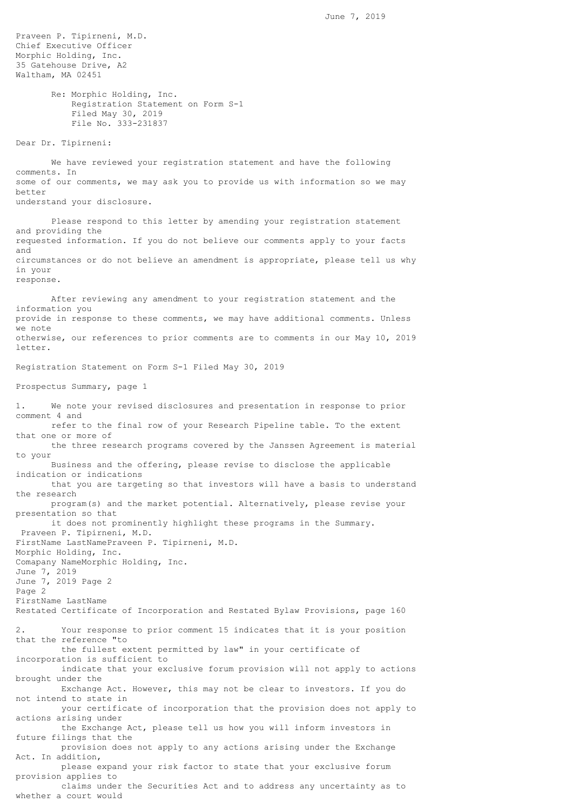Praveen P. Tipirneni, M.D. Chief Executive Officer Morphic Holding, Inc. 35 Gatehouse Drive, A2 Waltham, MA 02451 Re: Morphic Holding, Inc. Registration Statement on Form S-1 Filed May 30, 2019 File No. 333-231837 Dear Dr. Tipirneni: We have reviewed your registration statement and have the following comments. In some of our comments, we may ask you to provide us with information so we may better understand your disclosure. Please respond to this letter by amending your registration statement and providing the requested information. If you do not believe our comments apply to your facts and circumstances or do not believe an amendment is appropriate, please tell us why in your response. After reviewing any amendment to your registration statement and the information you provide in response to these comments, we may have additional comments. Unless we note otherwise, our references to prior comments are to comments in our May 10, 2019 letter. Registration Statement on Form S-1 Filed May 30, 2019 Prospectus Summary, page 1 1. We note your revised disclosures and presentation in response to prior comment 4 and refer to the final row of your Research Pipeline table. To the extent that one or more of the three research programs covered by the Janssen Agreement is material to your Business and the offering, please revise to disclose the applicable indication or indications that you are targeting so that investors will have a basis to understand the research program(s) and the market potential. Alternatively, please revise your presentation so that it does not prominently highlight these programs in the Summary. Praveen P. Tipirneni, M.D. FirstName LastNamePraveen P. Tipirneni, M.D. Morphic Holding, Inc. Comapany NameMorphic Holding, Inc. June 7, 2019 June 7, 2019 Page 2 Page 2 FirstName LastName Restated Certificate of Incorporation and Restated Bylaw Provisions, page 160 2. Your response to prior comment 15 indicates that it is your position that the reference "to the fullest extent permitted by law" in your certificate of incorporation is sufficient to indicate that your exclusive forum provision will not apply to actions brought under the Exchange Act. However, this may not be clear to investors. If you do not intend to state in your certificate of incorporation that the provision does not apply to actions arising under the Exchange Act, please tell us how you will inform investors in future filings that the provision does not apply to any actions arising under the Exchange Act. In addition, please expand your risk factor to state that your exclusive forum provision applies to claims under the Securities Act and to address any uncertainty as to whether a court would